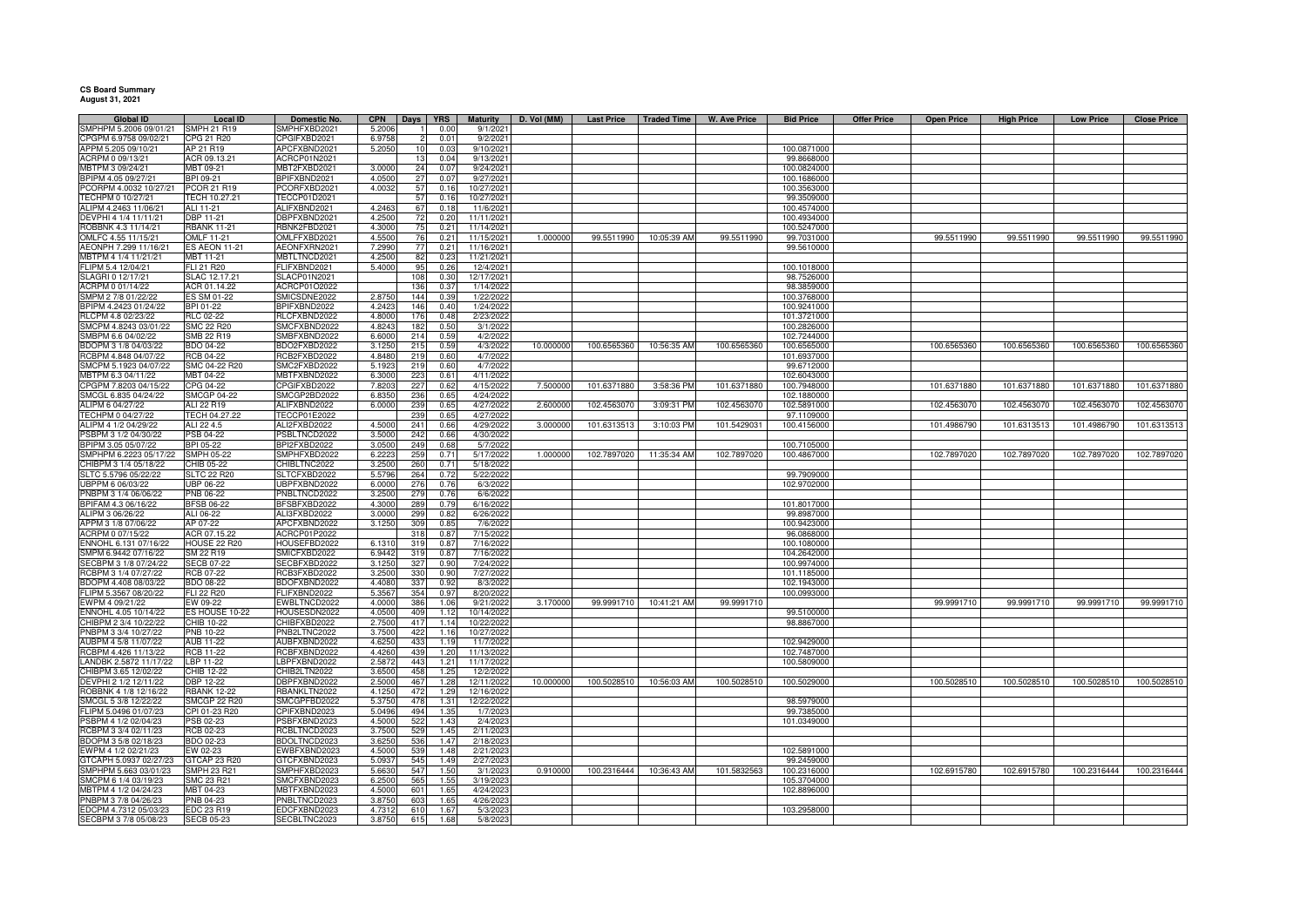**CS Board Summary August 31, 2021**

| <b>Global ID</b>                              | Local ID                           | Domestic No.                 | <b>CPN</b>      | Days       | <b>YRS</b>    | <b>Maturity</b>         | D. Vol (MM) | <b>Last Price</b> | Traded Time | W. Ave Price | <b>Bid Price</b>          | <b>Offer Price</b> | <b>Open Price</b> | <b>High Price</b> | <b>Low Price</b> | <b>Close Price</b> |
|-----------------------------------------------|------------------------------------|------------------------------|-----------------|------------|---------------|-------------------------|-------------|-------------------|-------------|--------------|---------------------------|--------------------|-------------------|-------------------|------------------|--------------------|
| SMPHPM 5.2006 09/01/21                        | <b>SMPH 21 R19</b>                 | SMPHFXBD2021                 | 5.200           |            | 0.00          | 9/1/202                 |             |                   |             |              |                           |                    |                   |                   |                  |                    |
| CPGPM 6.9758 09/02/21                         | CPG 21 R20                         | CPGIFXBD2021                 | 6.975           |            | $0.0^{\circ}$ | 9/2/202                 |             |                   |             |              |                           |                    |                   |                   |                  |                    |
| APPM 5.205 09/10/21                           | AP 21 R19                          | APCFXBND2021                 | 5.205           | 10         | 0.03          | 9/10/202                |             |                   |             |              | 100.0871000               |                    |                   |                   |                  |                    |
| ACRPM 0 09/13/21                              | ACR 09.13.21                       | ACRCP01N2021                 |                 | 13         | 0.04          | 9/13/202                |             |                   |             |              | 99.8668000                |                    |                   |                   |                  |                    |
| MBTPM 3 09/24/21                              | MBT 09-21                          | MBT2FXBD2021                 | 3.000           | 24         | 0.07          | 9/24/202                |             |                   |             |              | 100.0824000               |                    |                   |                   |                  |                    |
| BPIPM 4.05 09/27/21                           | BPI 09-21                          | BPIFXBND2021                 | 4.0500          | 27         | 0.07          | 9/27/2021               |             |                   |             |              | 100.1686000               |                    |                   |                   |                  |                    |
| PCORPM 4.0032 10/27/21                        | PCOR 21 R19                        | PCORFXBD2021                 | 4.003           | 57         | 0.16          | 10/27/2021              |             |                   |             |              | 100.3563000               |                    |                   |                   |                  |                    |
| TECHPM 0 10/27/21                             | ECH 10.27.21                       | ECCP01D2021                  |                 | 57         | 0.16          | 10/27/202               |             |                   |             |              | 99.3509000                |                    |                   |                   |                  |                    |
| ALIPM 4.2463 11/06/21                         | ALI 11-21                          | <b>ILIFXBND2021</b>          | 4.246           | 67         | 0.18          | 11/6/2021               |             |                   |             |              | 100.4574000               |                    |                   |                   |                  |                    |
| DEVPHI 4 1/4 11/11/21                         | DBP 11-21                          | BPFXBND2021                  | 4.2500          | 72         | 0.20          | 11/11/2021              |             |                   |             |              | 100.4934000               |                    |                   |                   |                  |                    |
| ROBBNK 4.3 11/14/21                           | <b>RBANK 11-21</b>                 | RBNK2FBD2021                 | 4.3000          | 75         | 0.21          | 11/14/2021              |             |                   |             |              | 100.5247000               |                    |                   |                   |                  |                    |
| OMLFC 4.55 11/15/21                           | <b>OMLF 11-21</b>                  | MLFFXBD2021                  | 4.550           | 76         | 0.21          | 11/15/202               | 1.000000    | 99.5511990        | 10:05:39 AM | 99.5511990   | 99.7031000                |                    | 99.5511990        | 99.5511990        | 99.5511990       | 99.5511990         |
| AEONPH 7.299 11/16/21                         | <b>ES AEON 11-21</b>               | AEONFXRN2021                 | 7.2990          | 77         | 0.21          | 11/16/2021              |             |                   |             |              | 99.5610000                |                    |                   |                   |                  |                    |
| MBTPM 4 1/4 11/21/21                          | MBT 11-21                          | MBTLTNCD2021                 | 4.2500          | 82         | 0.23          | 11/21/2021              |             |                   |             |              |                           |                    |                   |                   |                  |                    |
| FLIPM 5.4 12/04/21<br>SLAGRI 0 12/17/21       | FLI 21 R20<br>SLAC 12.17.21        | FLIFXBND2021<br>SLACP01N2021 | 5.4000          | 95<br>108  | 0.26          | 12/4/2021<br>12/17/2021 |             |                   |             |              | 100.1018000<br>98.7526000 |                    |                   |                   |                  |                    |
| ACRPM 0 01/14/22                              | ACR 01.14.22                       | ACRCP01O2022                 |                 | 136        | 0.30<br>0.37  | 1/14/2022               |             |                   |             |              | 98.3859000                |                    |                   |                   |                  |                    |
| SMPM 2 7/8 01/22/22                           | ES SM 01-22                        | SMICSDNE2022                 | 2.875           | 144        | 0.39          |                         |             |                   |             |              | 100.3768000               |                    |                   |                   |                  |                    |
| BPIPM 4.2423 01/24/22                         | BPI 01-22                          | BPIFXBND2022                 | 4.2423          | 146        | 0.40          | 1/22/202<br>1/24/2022   |             |                   |             |              | 100.9241000               |                    |                   |                   |                  |                    |
| RLCPM 4.8 02/23/22                            | <b>RLC 02-22</b>                   | RLCFXBND2022                 | 4.8000          | 176        | 0.48          | 2/23/2022               |             |                   |             |              | 101.3721000               |                    |                   |                   |                  |                    |
| SMCPM 4.8243 03/01/22                         | <b>SMC 22 R20</b>                  | SMCFXBND2022                 | 4.8243          | 182        | 0.50          | 3/1/2022                |             |                   |             |              | 100.2826000               |                    |                   |                   |                  |                    |
| SMBPM 6.6 04/02/22                            | SMB 22 R19                         | SMBFXBND2022                 | 6.6000          | 214        | 0.59          | 4/2/202                 |             |                   |             |              | 102.7244000               |                    |                   |                   |                  |                    |
| BDOPM 3 1/8 04/03/22                          | BDO 04-22                          | BDO2FXBD2022                 | 3.1250          | 215        | 0.59          | 4/3/2022                | 10.000000   | 100.6565360       | 10:56:35 AM | 100.6565360  | 100.6565000               |                    | 100.6565360       | 100.6565360       | 100.6565360      | 100.6565360        |
| RCBPM 4.848 04/07/22                          | <b>RCB 04-22</b>                   | RCB2FXBD2022                 | 4.8480          | 219        | 0.60          | 4/7/2022                |             |                   |             |              | 101.6937000               |                    |                   |                   |                  |                    |
| SMCPM 5.1923 04/07/22                         | SMC 04-22 R20                      | SMC2FXBD2022                 | 5.1923          | 219        | 0.60          | 4/7/2022                |             |                   |             |              | 99.6712000                |                    |                   |                   |                  |                    |
| MBTPM 6.3 04/11/22                            | MBT 04-22                          | <b>MBTFXBND2022</b>          | 6.3000          | 223        | 0.61          | 4/11/2022               |             |                   |             |              | 102.6043000               |                    |                   |                   |                  |                    |
| CPGPM 7.8203 04/15/22                         | CPG 04-22                          | CPGIFXBD2022                 | 7.8203          | 227        | 0.62          | 4/15/2022               | 7.500000    | 101.6371880       | 3:58:36 PM  | 101.6371880  | 100.7948000               |                    | 101.6371880       | 101.6371880       | 101.6371880      | 101.6371880        |
| SMCGL 6.835 04/24/22                          | <b>SMCGP 04-22</b>                 | SMCGP2BD2022                 | 6.8350          | 236        | 0.65          | 4/24/2022               |             |                   |             |              | 102.1880000               |                    |                   |                   |                  |                    |
| ALIPM 6 04/27/22                              | ALI 22 R19                         | ALIFXBND2022                 | 6.0000          | 239        | 0.65          | 4/27/2022               | 2.60000     | 102.4563070       | 3:09:31 PM  | 102.4563070  | 102.5891000               |                    | 102.4563070       | 102.4563070       | 102.4563070      | 102.4563070        |
| TECHPM 0 04/27/22                             | TECH 04.27.22                      | TECCP01E2022                 |                 | 239        | 0.65          | 4/27/2022               |             |                   |             |              | 97.1109000                |                    |                   |                   |                  |                    |
| ALIPM 4 1/2 04/29/22                          | ALI 22 4.5                         | ALI2FXBD2022                 | 4.500           | 241        | 0.66          | 4/29/2022               | 3.00000     | 101.6313513       | 3:10:03 PM  | 101.5429031  | 100.4156000               |                    | 101.4986790       | 101.6313513       | 101.4986790      | 101.631351         |
| PSBPM 3 1/2 04/30/22                          | PSB 04-22                          | PSBLTNCD2022                 | 3.500           | 242        | 0.66          | 4/30/2022               |             |                   |             |              |                           |                    |                   |                   |                  |                    |
| BPIPM 3.05 05/07/22                           | BPI 05-22                          | BPI2FXBD2022                 | 3.050           | 249        | 0.68          | 5/7/2022                |             |                   |             |              | 100.7105000               |                    |                   |                   |                  |                    |
| SMPHPM 6.2223 05/17/22                        | <b>SMPH 05-22</b>                  | SMPHFXBD2022                 | 6.222           | 259        | 0.71          | 5/17/2022               | 1.000000    | 102.7897020       | 11:35:34 AM | 102.7897020  | 100.4867000               |                    | 102.7897020       | 102.7897020       | 102.7897020      | 102.7897020        |
| HIBPM 3 1/4 05/18/22                          | CHIB 05-22                         | CHIBLTNC2022                 | 3.250           | 260        | 0.71          | 5/18/202                |             |                   |             |              |                           |                    |                   |                   |                  |                    |
| SLTC 5.5796 05/22/22                          | <b>SLTC 22 R20</b>                 | LTCFXBD2022                  | 5.5796          | 264        | 0.72          | 5/22/202                |             |                   |             |              | 99.7909000                |                    |                   |                   |                  |                    |
| JBPPM 6 06/03/22                              | UBP 06-22                          | JBPFXBND2022                 | 6.000           | 276        | 0.76          | 6/3/2022                |             |                   |             |              | 102.9702000               |                    |                   |                   |                  |                    |
| PNBPM 3 1/4 06/06/22                          | PNB 06-22                          | PNBLTNCD2022                 | 3.250           | 279        | 0.76          | 6/6/202                 |             |                   |             |              |                           |                    |                   |                   |                  |                    |
| BPIFAM 4.3 06/16/22                           | <b>BFSB 06-22</b>                  | 3FSBFXBD2022                 | 4.3000          | 289        | 0.79          | 6/16/202                |             |                   |             |              | 101.8017000               |                    |                   |                   |                  |                    |
| ALIPM 3 06/26/22                              | ALI 06-22                          | ALI3FXBD2022                 | 3.0000          | 299        | 0.82          | 6/26/2022               |             |                   |             |              | 99.8987000                |                    |                   |                   |                  |                    |
| APPM 3 1/8 07/06/22                           | AP 07-22                           | APCFXBND2022                 | 3.1250          | 309        | 0.85          | 7/6/2022                |             |                   |             |              | 100.9423000               |                    |                   |                   |                  |                    |
| ACRPM 0 07/15/22                              | ACR 07.15.22                       | ACRCP01P2022                 |                 | 318        | 0.87          | 7/15/202                |             |                   |             |              | 96.0868000                |                    |                   |                   |                  |                    |
| ENNOHL 6.131 07/16/22                         | <b>HOUSE 22 R20</b>                | HOUSEFBD2022                 | 6.131           | 319        | 0.87          | 7/16/202                |             |                   |             |              | 100.1080000               |                    |                   |                   |                  |                    |
| SMPM 6.9442 07/16/22                          | SM 22 R19                          | SMICFXBD2022                 | 6.9442          | 319        | 0.87          | 7/16/2022               |             |                   |             |              | 104.2642000               |                    |                   |                   |                  |                    |
| SECBPM 3 1/8 07/24/22                         | <b>SECB 07-22</b>                  | SECBFXBD2022                 | 3.1250          | 327        | 0.90          | 7/24/2022               |             |                   |             |              | 100.9974000               |                    |                   |                   |                  |                    |
| RCBPM 3 1/4 07/27/22                          | <b>RCB 07-22</b>                   | RCB3FXBD2022                 | 3.250           | 330        | 0.90          | 7/27/202                |             |                   |             |              | 101.1185000               |                    |                   |                   |                  |                    |
| BDOPM 4.408 08/03/22                          | BDO 08-22                          | BDOFXBND2022                 | 4.4080          | 337        | 0.92          | 8/3/2022                |             |                   |             |              | 102.1943000               |                    |                   |                   |                  |                    |
| FLIPM 5.3567 08/20/22                         | FLI 22 R20                         | FLIFXBND2022                 | 5.3567          | 354        | 0.97          | 8/20/2022               |             |                   |             |              | 100.0993000               |                    |                   |                   |                  |                    |
| EWPM 4 09/21/22                               | EW 09-22                           | EWBLTNCD2022                 | 4.0000          | 386        | 1.06          | 9/21/2022               | 3.170000    | 99.9991710        | 10:41:21 AM | 99.9991710   |                           |                    | 99.9991710        | 99.9991710        | 99.9991710       | 99.9991710         |
| ENNOHL 4.05 10/14/22                          | ES HOUSE 10-22                     | HOUSESDN2022                 | 4.0500          | 409        | 1.12          | 10/14/202               |             |                   |             |              | 99.5100000                |                    |                   |                   |                  |                    |
| CHIBPM 2 3/4 10/22/22                         | CHIB 10-22                         | CHIBFXBD2022                 | 2.7500          | 417        | 1.14          | 10/22/2022              |             |                   |             |              | 98.8867000                |                    |                   |                   |                  |                    |
| PNBPM 3 3/4 10/27/22                          | PNB 10-22                          | PNB2LTNC2022                 | 3.7500          | 422        | 1.16          | 10/27/2022              |             |                   |             |              |                           |                    |                   |                   |                  |                    |
| AUBPM 4 5/8 11/07/22                          | AUB 11-22                          | AUBFXBND2022                 | 4.6250          | 433        | 1.19          | 11/7/2022               |             |                   |             |              | 102.9429000               |                    |                   |                   |                  |                    |
| RCBPM 4.426 11/13/22                          | RCB 11-22                          | RCBFXBND2022                 | 4.4260          | 439        | 1.20          | 11/13/2022              |             |                   |             |              | 102.7487000               |                    |                   |                   |                  |                    |
| LANDBK 2.5872 11/17/22                        | LBP 11-22                          | LBPFXBND2022                 | 2.5872          | 443        | 1.21          | 11/17/2022              |             |                   |             |              | 100.5809000               |                    |                   |                   |                  |                    |
| CHIBPM 3.65 12/02/22                          | CHIB 12-22                         | CHIB2LTN2022                 | 3.6500          | 458        | 1.25          | 12/2/2022               |             |                   |             |              |                           |                    |                   |                   |                  |                    |
| DEVPHI 2 1/2 12/11/22                         | DBP 12-22                          | DBPFXBND2022                 | 2.5000          | 467        | 1.28          | 12/11/2022              | 10.000000   | 100.5028510       | 10:56:03 AM | 100.5028510  | 100.5029000               |                    | 100.5028510       | 100.5028510       | 100.5028510      | 100.5028510        |
| ROBBNK 4 1/8 12/16/22                         | <b>RBANK 12-22</b><br>SMCGP 22 R20 | RBANKLTN2022<br>SMCGPFBD2022 | 4.125           | 472<br>478 | 1.29<br>1.31  | 12/16/2022              |             |                   |             |              | 98.5979000                |                    |                   |                   |                  |                    |
| SMCGL 5 3/8 12/22/22<br>FLIPM 5.0496 01/07/23 | CPI 01-23 R20                      | CPIFXBND2023                 | 5.375<br>5.0496 | 494        | 1.35          | 12/22/2022<br>1/7/2023  |             |                   |             |              | 99.7385000                |                    |                   |                   |                  |                    |
|                                               |                                    |                              |                 |            | 1.43          |                         |             |                   |             |              |                           |                    |                   |                   |                  |                    |
| PSBPM 4 1/2 02/04/23<br>RCBPM 3 3/4 02/11/23  | PSB 02-23<br>RCB 02-23             | PSBFXBND2023<br>RCBLTNCD2023 | 4.5000<br>3.750 | 522<br>529 | 1.45          | 2/4/2023<br>2/11/202    |             |                   |             |              | 101.0349000               |                    |                   |                   |                  |                    |
| BDOPM 3 5/8 02/18/23                          | BDO 02-23                          | BDOLTNCD2023                 | 3.625           | 536        | 1.47          | 2/18/202                |             |                   |             |              |                           |                    |                   |                   |                  |                    |
| EWPM 4 1/2 02/21/23                           | EW 02-23                           | WBFXBND2023                  | 4.500           | 539        | 1.48          | 2/21/202                |             |                   |             |              | 102.5891000               |                    |                   |                   |                  |                    |
| GTCAPH 5.0937 02/27/23                        | GTCAP 23 R20                       | <b>STCFXBND2023</b>          | 5.093           | 545        | 1.49          | 2/27/2023               |             |                   |             |              | 99.2459000                |                    |                   |                   |                  |                    |
| SMPHPM 5.663 03/01/23                         | <b>SMPH 23 R21</b>                 | SMPHFXBD2023                 | 5.663           | 547        | 1.50          | 3/1/2023                | 0.910000    | 100.2316444       | 10:36:43 AM | 101.5832563  | 100.2316000               |                    | 102.6915780       | 102.6915780       | 100.2316444      | 100.2316444        |
| SMCPM 6 1/4 03/19/23                          | SMC 23 R21                         | SMCFXBND2023                 | 6.2500          | 565        | 1.55          | 3/19/2023               |             |                   |             |              | 105.3704000               |                    |                   |                   |                  |                    |
| MBTPM 4 1/2 04/24/23                          | MBT 04-23                          | MBTFXBND2023                 | 4.5000          | 601        | 1.65          | 4/24/2023               |             |                   |             |              | 102.8896000               |                    |                   |                   |                  |                    |
| PNBPM 3 7/8 04/26/23                          | PNB 04-23                          | PNBLTNCD2023                 | 3.8750          | 603        | 1.65          | 4/26/202                |             |                   |             |              |                           |                    |                   |                   |                  |                    |
| EDCPM 4.7312 05/03/23                         | EDC 23 R19                         | EDCFXBND2023                 | 4.731           | 610        | 1.67          | 5/3/202                 |             |                   |             |              | 103.2958000               |                    |                   |                   |                  |                    |
| SECBPM 3 7/8 05/08/23                         | <b>SECB 05-23</b>                  | SECBLTNC2023                 | 3.875           | 615        | 1.68          | 5/8/2023                |             |                   |             |              |                           |                    |                   |                   |                  |                    |
|                                               |                                    |                              |                 |            |               |                         |             |                   |             |              |                           |                    |                   |                   |                  |                    |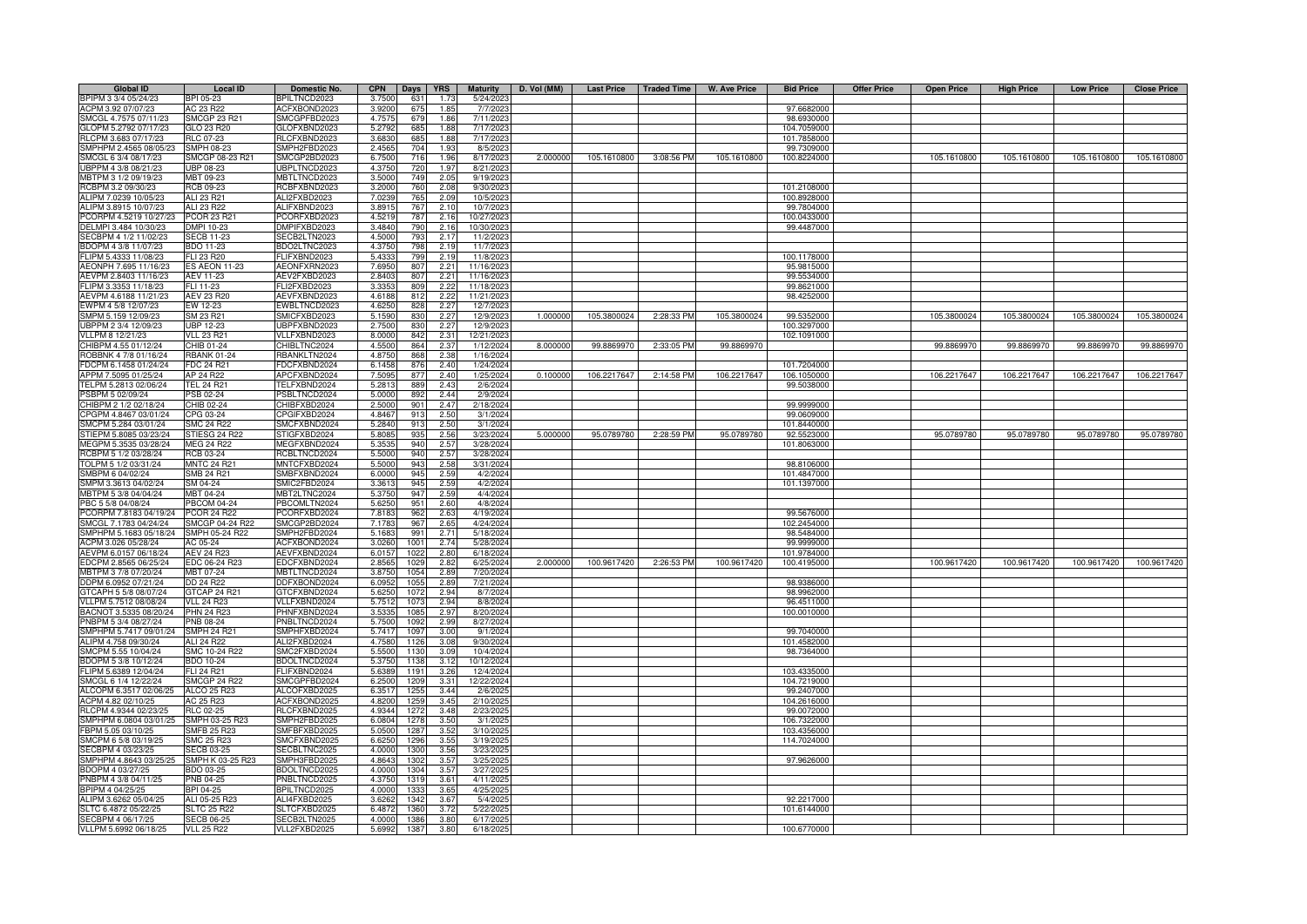| <b>Global ID</b>       | <b>Local ID</b>      | Domestic No.        | <b>CPN</b> | Days | <b>YRS</b>   | <b>Maturity</b> | D. Vol (MM) | <b>Last Price</b> | <b>Traded Time</b> | <b>W. Ave Price</b> | <b>Bid Price</b> | <b>Offer Price</b> | <b>Open Price</b> | <b>High Price</b> | <b>Low Price</b> | <b>Close Price</b> |
|------------------------|----------------------|---------------------|------------|------|--------------|-----------------|-------------|-------------------|--------------------|---------------------|------------------|--------------------|-------------------|-------------------|------------------|--------------------|
| BPIPM 3 3/4 05/24/23   | BPI 05-23            | BPILTNCD2023        | 3.7500     | 631  | 1.73         | 5/24/2023       |             |                   |                    |                     |                  |                    |                   |                   |                  |                    |
| ACPM 3.92 07/07/23     | AC 23 R22            | ACFXBOND2023        | 3.9200     | 675  | 1.85         | 7/7/2023        |             |                   |                    |                     | 97.6682000       |                    |                   |                   |                  |                    |
| SMCGL 4.7575 07/11/23  | <b>SMCGP 23 R21</b>  | SMCGPFBD2023        | 4.7575     | 679  | 1.86         | 7/11/2023       |             |                   |                    |                     | 98.6930000       |                    |                   |                   |                  |                    |
| GLOPM 5.2792 07/17/23  | GLO 23 R20           | GLOFXBND2023        | 5.2792     | 685  | 1.88         | 7/17/2023       |             |                   |                    |                     | 104.7059000      |                    |                   |                   |                  |                    |
| RLCPM 3.683 07/17/23   | <b>RLC 07-23</b>     | RLCFXBND2023        | 3.683      | 685  | 1.88         | 7/17/202        |             |                   |                    |                     | 101.7858000      |                    |                   |                   |                  |                    |
| SMPHPM 2.4565 08/05/23 | <b>SMPH 08-23</b>    | SMPH2FBD2023        | 2.4565     | 704  | 1.93         | 8/5/202         |             |                   |                    |                     | 99.7309000       |                    |                   |                   |                  |                    |
| SMCGL 6 3/4 08/17/23   | SMCGP 08-23 R21      | SMCGP2BD2023        | 6.7500     | 716  | 1.96         | 8/17/2023       | 2.000000    | 105.1610800       | 3:08:56 PM         | 105.1610800         | 100.8224000      |                    | 105.1610800       | 105.1610800       | 105.1610800      | 105.1610800        |
| UBPPM 4 3/8 08/21/23   | UBP 08-23            | JBPLTNCD2023        | 4.3750     | 720  | 1.97         | 8/21/2023       |             |                   |                    |                     |                  |                    |                   |                   |                  |                    |
| MBTPM 3 1/2 09/19/23   | MBT 09-23            | <b>MBTLTNCD2023</b> | 3,5000     | 749  | 2.05         | 9/19/202        |             |                   |                    |                     |                  |                    |                   |                   |                  |                    |
| RCBPM 3.2 09/30/23     | RCB 09-23            | <b>RCBFXBND2023</b> | 3.2000     | 760  | 2.08         | 9/30/202        |             |                   |                    |                     | 101.2108000      |                    |                   |                   |                  |                    |
| ALIPM 7.0239 10/05/23  | ALI 23 R21           | ALI2FXBD2023        | 7.0239     | 765  | 2.09         | 10/5/202        |             |                   |                    |                     | 100.8928000      |                    |                   |                   |                  |                    |
| ALIPM 3.8915 10/07/23  | ALI 23 R22           | ALIFXBND2023        | 3.891      | 767  | 2.10         | 10/7/202        |             |                   |                    |                     | 99.7804000       |                    |                   |                   |                  |                    |
| PCORPM 4.5219 10/27/23 | PCOR 23 R21          | PCORFXBD2023        | 4.5219     | 787  | 2.16         | 10/27/202       |             |                   |                    |                     | 100.0433000      |                    |                   |                   |                  |                    |
| DELMPI 3.484 10/30/23  | DMPI 10-23           | DMPIFXBD2023        | 3.4840     | 790  | 2.16         | 10/30/202       |             |                   |                    |                     | 99.4487000       |                    |                   |                   |                  |                    |
| SECBPM 4 1/2 11/02/23  | <b>SECB 11-23</b>    | SECB2LTN2023        | 4.5000     | 793  | 2.17         | 11/2/202        |             |                   |                    |                     |                  |                    |                   |                   |                  |                    |
| BDOPM 4 3/8 11/07/23   | BDO 11-23            | BDO2LTNC2023        | 4.3750     | 798  | 2.19         | 11/7/202        |             |                   |                    |                     |                  |                    |                   |                   |                  |                    |
| FLIPM 5.4333 11/08/23  | FLI 23 R20           | FLIFXBND2023        | 5.433      | 799  | 2.19         | 11/8/202        |             |                   |                    |                     | 100.1178000      |                    |                   |                   |                  |                    |
| AEONPH 7.695 11/16/23  | <b>ES AEON 11-23</b> | AEONFXRN2023        | 7.695      | 807  | 2.21         | 11/16/202       |             |                   |                    |                     | 95.9815000       |                    |                   |                   |                  |                    |
| AEVPM 2.8403 11/16/23  | AEV 11-23            | AEV2FXBD2023        | 2.840      | 807  | 2.21         | 11/16/202       |             |                   |                    |                     | 99.5534000       |                    |                   |                   |                  |                    |
| FLIPM 3.3353 11/18/23  | FLI 11-23            | FLI2FXBD2023        | 3.335      | 809  | 222          | 11/18/202       |             |                   |                    |                     | 99.8621000       |                    |                   |                   |                  |                    |
| AEVPM 4.6188 11/21/23  | AEV 23 R20           | AEVFXBND2023        | 4.618      | 812  | 2.22         | 11/21/202       |             |                   |                    |                     | 98.4252000       |                    |                   |                   |                  |                    |
| EWPM 4 5/8 12/07/23    | EW 12-23             | EWBLTNCD2023        | 4.625      | 828  | 2.27         | 12/7/202        |             |                   |                    |                     |                  |                    |                   |                   |                  |                    |
| SMPM 5.159 12/09/23    | SM 23 R21            | SMICFXBD2023        | 5.159      | 830  | 2.27         | 12/9/202        | 1.000000    | 105.3800024       | 2:28:33 PM         | 105.3800024         | 99.5352000       |                    | 105.3800024       | 105.3800024       | 105.3800024      | 105.3800024        |
| JBPPM 2 3/4 12/09/23   | <b>UBP 12-23</b>     | UBPFXBND2023        | 2.750      | 830  | 2.27         | 12/9/202        |             |                   |                    |                     | 100.3297000      |                    |                   |                   |                  |                    |
| VLLPM 8 12/21/23       | <b>VLL 23 R21</b>    | VLLFXBND2023        | 8.0000     | 842  | 2.31         | 12/21/202       |             |                   |                    |                     | 102.1091000      |                    |                   |                   |                  |                    |
| CHIBPM 4.55 01/12/24   | CHIB 01-24           | CHIBLTNC2024        | 4.5500     | 864  | 2.37         | 1/12/2024       | 8.000000    | 99.8869970        | 2:33:05 PM         | 99.8869970          |                  |                    | 99.8869970        | 99.8869970        | 99.8869970       | 99.8869970         |
| ROBBNK 4 7/8 01/16/24  | <b>RBANK 01-24</b>   | RBANKLTN2024        | 4.8750     | 868  | 2.38         | 1/16/2024       |             |                   |                    |                     |                  |                    |                   |                   |                  |                    |
| FDCPM 6.1458 01/24/24  | <b>FDC 24 R21</b>    | FDCFXBND2024        | 6.1458     | 876  | 2.40         | 1/24/2024       |             |                   |                    |                     | 101.7204000      |                    |                   |                   |                  |                    |
|                        |                      |                     |            | 877  |              |                 | 0.100000    |                   |                    |                     |                  |                    |                   |                   |                  |                    |
| APPM 7.5095 01/25/24   | AP 24 R22            | APCFXBND2024        | 7.5095     |      | 2.40         | 1/25/2024       |             | 106.2217647       | 2:14:58 PM         | 106.2217647         | 106.1050000      |                    | 106.2217647       | 106.2217647       | 106.2217647      | 106.2217647        |
| TELPM 5.2813 02/06/24  | <b>TEL 24 R21</b>    | TELFXBND2024        | 5.2813     | 889  | 2.43<br>2.44 | 2/6/2024        |             |                   |                    |                     | 99.5038000       |                    |                   |                   |                  |                    |
| PSBPM 5 02/09/24       | PSB 02-24            | PSBLTNCD2024        | 5.0000     | 892  |              | 2/9/202         |             |                   |                    |                     |                  |                    |                   |                   |                  |                    |
| CHIBPM 2 1/2 02/18/24  | CHIB 02-24           | CHIBFXBD2024        | 2.500      | 901  | 2.47         | 2/18/2024       |             |                   |                    |                     | 99.9999000       |                    |                   |                   |                  |                    |
| CPGPM 4.8467 03/01/24  | CPG 03-24            | CPGIFXBD2024        | 4.846      | 913  | 2.50         | 3/1/202         |             |                   |                    |                     | 99.0609000       |                    |                   |                   |                  |                    |
| SMCPM 5.284 03/01/24   | <b>SMC 24 R22</b>    | <b>SMCFXBND2024</b> | 5.2840     | 913  | 2.50         | 3/1/202         |             |                   |                    |                     | 101.8440000      |                    |                   |                   |                  |                    |
| STIEPM 5.8085 03/23/24 | STIESG 24 R22        | STIGFXBD2024        | 5.808      | 935  | 2.56         | 3/23/2024       | 5.000000    | 95.0789780        | 2:28:59 PM         | 95.0789780          | 92.5523000       |                    | 95.0789780        | 95.0789780        | 95.0789780       | 95.0789780         |
| MEGPM 5.3535 03/28/24  | <b>MEG 24 R22</b>    | <b>IEGFXBND2024</b> | 5.353      | 940  | 2.57         | 3/28/202        |             |                   |                    |                     | 101.8063000      |                    |                   |                   |                  |                    |
| RCBPM 5 1/2 03/28/24   | RCB 03-24            | RCBLTNCD2024        | 5.500      | 940  | 2.57         | 3/28/202        |             |                   |                    |                     |                  |                    |                   |                   |                  |                    |
| TOLPM 5 1/2 03/31/24   | <b>MNTC 24 R21</b>   | MNTCFXBD2024        | 5.500      | 943  | 2.58         | 3/31/202        |             |                   |                    |                     | 98.8106000       |                    |                   |                   |                  |                    |
| SMBPM 6 04/02/24       | SMB 24 R21           | <b>SMBFXBND2024</b> | 6.000      | 945  | 2.5%         | 4/2/202         |             |                   |                    |                     | 101.4847000      |                    |                   |                   |                  |                    |
| SMPM 3.3613 04/02/24   | SM 04-24             | MIC2FBD2024         | 3.361      | 945  | 2.59         | 4/2/202         |             |                   |                    |                     | 101.1397000      |                    |                   |                   |                  |                    |
| MBTPM 5 3/8 04/04/24   | MBT 04-24            | MBT2LTNC2024        | 5.3750     | 947  | 2.59         | 4/4/2024        |             |                   |                    |                     |                  |                    |                   |                   |                  |                    |
| PBC 5 5/8 04/08/24     | <b>PBCOM 04-24</b>   | PBCOMLTN2024        | 5.6250     | 951  | 2.60         | 4/8/2024        |             |                   |                    |                     |                  |                    |                   |                   |                  |                    |
| PCORPM 7.8183 04/19/24 | <b>PCOR 24 R22</b>   | PCORFXBD2024        | 7.818      | 962  | 2.63         | 4/19/2024       |             |                   |                    |                     | 99.5676000       |                    |                   |                   |                  |                    |
| SMCGL 7.1783 04/24/24  | SMCGP 04-24 R22      | SMCGP2BD2024        | 7.178      | 967  | 2.65         | 4/24/2024       |             |                   |                    |                     | 102.2454000      |                    |                   |                   |                  |                    |
| SMPHPM 5.1683 05/18/24 | SMPH 05-24 R22       | SMPH2FBD2024        | 5.168      | 991  | 2.71         | 5/18/2024       |             |                   |                    |                     | 98.5484000       |                    |                   |                   |                  |                    |
| ACPM 3.026 05/28/24    | AC 05-24             | ACFXBOND2024        | 3.026      | 1001 | 2.74         | 5/28/2024       |             |                   |                    |                     | 99.9999000       |                    |                   |                   |                  |                    |
| AEVPM 6.0157 06/18/24  | <b>AEV 24 R23</b>    | AEVEXBND2024        | 6.015      | 102  | 2.80         | 6/18/202        |             |                   |                    |                     | 101.9784000      |                    |                   |                   |                  |                    |
| EDCPM 2.8565 06/25/24  | EDC 06-24 R23        | EDCFXBND2024        | 2.856      | 102  | 2.8i         | 6/25/202        | 2.00000     | 100.9617420       | 2:26:53 PM         | 100.9617420         | 100.4195000      |                    | 100.9617420       | 100.9617420       | 100.9617420      | 100.9617420        |
| MBTPM 3 7/8 07/20/24   | MBT 07-24            | MBTLTNCD2024        | 3.875      | 1054 | 2.8          | 7/20/2024       |             |                   |                    |                     |                  |                    |                   |                   |                  |                    |
| DDPM 6.0952 07/21/24   | DD 24 R22            | DDFXBOND2024        | 6.095      | 1055 | 2.89         | 7/21/2024       |             |                   |                    |                     | 98.9386000       |                    |                   |                   |                  |                    |
| GTCAPH 5 5/8 08/07/24  | GTCAP 24 R21         | GTCFXBND2024        | 5.625      | 107  | 2.94         | 8/7/202         |             |                   |                    |                     | 98.9962000       |                    |                   |                   |                  |                    |
| VLLPM 5.7512 08/08/24  | <b>VLL 24 R23</b>    | VLLFXBND2024        | 5.7512     | 107  | 2.94         | 8/8/2024        |             |                   |                    |                     | 96.4511000       |                    |                   |                   |                  |                    |
| BACNOT 3.5335 08/20/24 | <b>PHN 24 R23</b>    | PHNFXBND2024        | 3.533      | 1085 | 2.97         | 8/20/2024       |             |                   |                    |                     | 100.0010000      |                    |                   |                   |                  |                    |
| PNBPM 5 3/4 08/27/24   | PNB 08-24            | PNBLTNCD2024        | 5.7500     | 1092 | 2.99         | 8/27/2024       |             |                   |                    |                     |                  |                    |                   |                   |                  |                    |
| SMPHPM 5.7417 09/01/24 | <b>SMPH 24 R21</b>   | SMPHFXBD2024        | 5.7417     | 1097 | 3.00         | 9/1/2024        |             |                   |                    |                     | 99.7040000       |                    |                   |                   |                  |                    |
| ALIPM 4.758 09/30/24   | ALI 24 R22           | ALI2FXBD2024        | 4.7580     | 1126 | 3.08         | 9/30/2024       |             |                   |                    |                     | 101.4582000      |                    |                   |                   |                  |                    |
| SMCPM 5.55 10/04/24    | SMC 10-24 R22        | SMC2FXBD2024        | 5.5500     | 1130 | 3.09         | 10/4/2024       |             |                   |                    |                     | 98.7364000       |                    |                   |                   |                  |                    |
| BDOPM 5 3/8 10/12/24   | <b>BDO 10-24</b>     | BDOLTNCD2024        | 5.375      | 1138 | 3.12         | 10/12/202       |             |                   |                    |                     |                  |                    |                   |                   |                  |                    |
| FLIPM 5.6389 12/04/24  | FLI 24 R21           | FLIFXBND2024        | 5.638      | 1191 | 3.26         | 12/4/2024       |             |                   |                    |                     | 103.4335000      |                    |                   |                   |                  |                    |
| SMCGL 6 1/4 12/22/24   | <b>SMCGP 24 R22</b>  | SMCGPFBD2024        | 6,2500     | 1209 | 3.31         | 12/22/2024      |             |                   |                    |                     | 104.7219000      |                    |                   |                   |                  |                    |
| ALCOPM 6.3517 02/06/25 | ALCO 25 R23          | ALCOFXBD2025        | 6.351      | 1255 | 3.44         | 2/6/202         |             |                   |                    |                     | 99.2407000       |                    |                   |                   |                  |                    |
| ACPM 4.82 02/10/25     | AC 25 R23            | <b>ACFXBOND2025</b> | 4.8200     | 1259 | 3.45         | 2/10/202        |             |                   |                    |                     | 104.2616000      |                    |                   |                   |                  |                    |
| RLCPM 4.9344 02/23/25  | <b>RLC 02-25</b>     | RLCFXBND2025        | 4.934      | 1272 | 3.48         | 2/23/202        |             |                   |                    |                     | 99.0072000       |                    |                   |                   |                  |                    |
| SMPHPM 6.0804 03/01/25 | SMPH 03-25 R23       | SMPH2FBD2025        | 6.080      | 1278 | 3.5C         | 3/1/202         |             |                   |                    |                     | 106.7322000      |                    |                   |                   |                  |                    |
| BPM 5.05 03/10/25      | <b>SMFB 25 R23</b>   | SMFBFXBD2025        | 5.050      | 1287 | 3.52         | 3/10/202        |             |                   |                    |                     | 103.4356000      |                    |                   |                   |                  |                    |
| SMCPM 6 5/8 03/19/25   | SMC 25 R23           | MCFXBND2025         | 6.625      | 1296 | 3.55         | 3/19/202        |             |                   |                    |                     | 114.7024000      |                    |                   |                   |                  |                    |
| SECBPM 4 03/23/25      | <b>SECB 03-25</b>    | SECBLTNC2025        | 4.0000     | 1300 | 3.56         | 3/23/202        |             |                   |                    |                     |                  |                    |                   |                   |                  |                    |
| SMPHPM 4.8643 03/25/25 | SMPH K 03-25 R23     | SMPH3FBD2025        | 4.8643     | 1302 | 3.57         | 3/25/202        |             |                   |                    |                     | 97.9626000       |                    |                   |                   |                  |                    |
| BDOPM 4 03/27/25       | BDO 03-25            | BDOLTNCD2025        | 4.0000     | 1304 | 3.57         | 3/27/202        |             |                   |                    |                     |                  |                    |                   |                   |                  |                    |
| PNBPM 4 3/8 04/11/25   | PNB 04-25            | PNBLTNCD2025        | 4.3750     | 1319 | 3.61         | 4/11/2025       |             |                   |                    |                     |                  |                    |                   |                   |                  |                    |
| BPIPM 4 04/25/25       | BPI 04-25            | BPILTNCD2025        | 4.0000     | 1333 | 3.65         | 4/25/202        |             |                   |                    |                     |                  |                    |                   |                   |                  |                    |
| ALIPM 3.6262 05/04/25  | ALI 05-25 R23        | ALI4FXBD2025        | 3.626      | 1342 | 3.67         | 5/4/202         |             |                   |                    |                     | 92.2217000       |                    |                   |                   |                  |                    |
|                        |                      |                     | 6.487      | 1360 | 3.72         | 5/22/202        |             |                   |                    |                     | 101.6144000      |                    |                   |                   |                  |                    |
| SLTC 6.4872 05/22/25   | <b>SLTC 25 R22</b>   | SLTCFXBD2025        |            |      |              |                 |             |                   |                    |                     |                  |                    |                   |                   |                  |                    |
| SECBPM 4 06/17/25      | <b>SECB 06-25</b>    | SECB2LTN2025        | 4.000      | 1386 | 3.80         | 6/17/202        |             |                   |                    |                     |                  |                    |                   |                   |                  |                    |
| VLLPM 5.6992 06/18/25  | <b>VLL 25 R22</b>    | VLL2FXBD2025        | 5.6992     | 1387 | 3.80         | 6/18/202        |             |                   |                    |                     | 100.6770000      |                    |                   |                   |                  |                    |